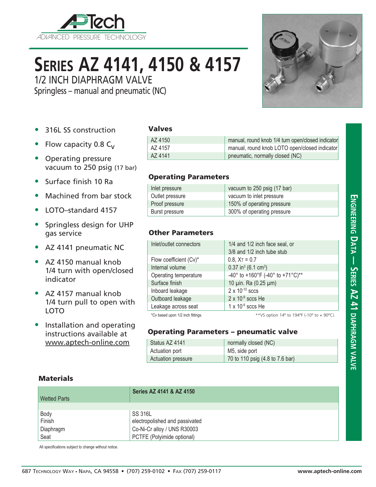

# **Series AZ 4141, 4150 & 4157**

1/2 INCH DIAPHRAGM VALVE

Springless – manual and pneumatic (NC)

- 316L SS construction
- Flow capacity 0.8  $C_v$
- Operating pressure vacuum to 250 psig (17 bar)
- Surface finish 10 Ra
- Machined from bar stock
- LOTO–standard 4157
- Springless design for UHP gas service
- AZ 4141 pneumatic NC
- AZ 4150 manual knob 1/4 turn with open/closed indicator
- AZ 4157 manual knob 1/4 turn pull to open with LOTO
- Installation and operating instructions available at www.aptech-online.com

#### Valves

| AZ 4150 | manual, round knob 1/4 turn open/closed indicator |
|---------|---------------------------------------------------|
| AZ 4157 | manual, round knob LOTO open/closed indicator     |
| AZ 4141 | pneumatic, normally closed (NC)                   |

#### Operating Parameters

| Inlet pressure  | vacuum to 250 psig (17 bar) |
|-----------------|-----------------------------|
| Outlet pressure | vacuum to inlet pressure    |
| Proof pressure  | 150% of operating pressure  |
| Burst pressure  | 300% of operating pressure  |

### Other Parameters

| Inlet/outlet connectors           | 1/4 and 1/2 inch face seal, or                |
|-----------------------------------|-----------------------------------------------|
|                                   | 3/8 and 1/2 inch tube stub                    |
| Flow coefficient (Cv)*            | $0.8$ , $X_T = 0.7$                           |
| Internal volume                   | $0.37$ in <sup>3</sup> (6.1 cm <sup>3</sup> ) |
| Operating temperature             | -40° to +160°F (-40° to +71°C)**              |
| Surface finish                    | 10 µin. Ra (0.25 µm)                          |
| Inboard leakage                   | $2 \times 10^{-10}$ sccs                      |
| Outboard leakage                  | $2 \times 10^{-9}$ sccs He                    |
| Leakage across seat               | $1 \times 10^{-9}$ sccs He                    |
| *Cv based upon 1/2 inch fittings. | ** VS option 14° to 194°F (-10° to + 90°C).   |

### Operating Parameters – pneumatic valve

| Status AZ 4141     | normally closed (NC)            |
|--------------------|---------------------------------|
| Actuation port     | M5, side port                   |
| Actuation pressure | 70 to 110 psig (4.8 to 7.6 bar) |

#### **Materials**

| <b>Wetted Parts</b> | Series AZ 4141 & AZ 4150       |
|---------------------|--------------------------------|
|                     |                                |
| Body                | SS 316L                        |
| Finish              | electropolished and passivated |
| Diaphragm           | Co-Ni-Cr alloy / UNS R30003    |
| Seat                | PCTFE (Polyimide optional)     |

All specifications subject to change without notice.